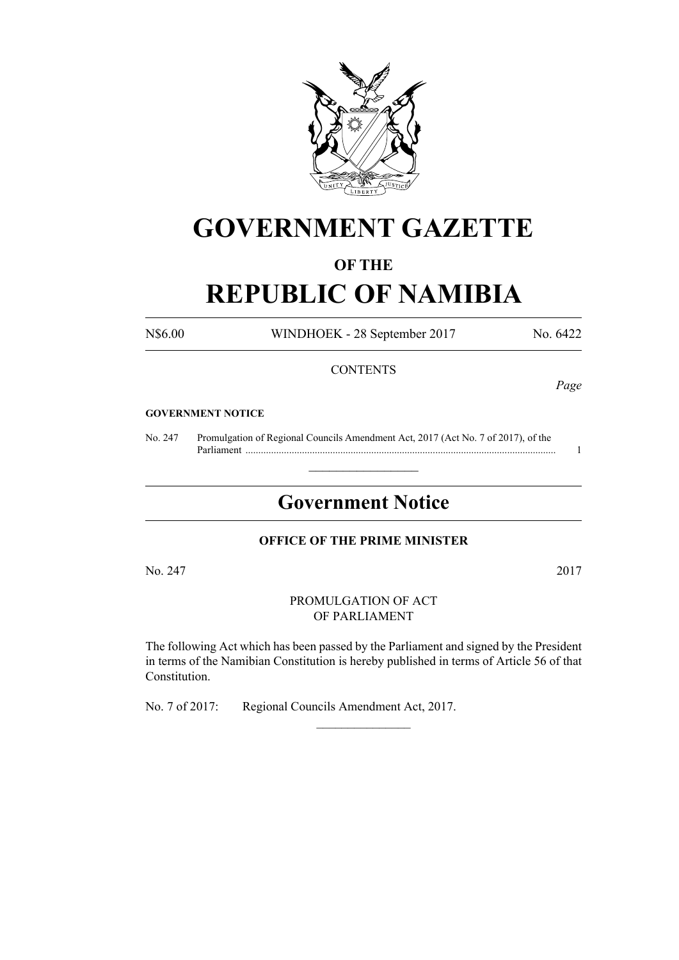

# **GOVERNMENT GAZETTE**

### **OF THE**

## **REPUBLIC OF NAMIBIA**

N\$6.00 WINDHOEK - 28 September 2017 No. 6422

### **CONTENTS**

*Page*

#### **GOVERNMENT NOTICE**

No. 247 Promulgation of Regional Councils Amendment Act, 2017 (Act No. 7 of 2017), of the Parliament ......................................................................................................................... 1

## **Government Notice**

 $\frac{1}{2}$  ,  $\frac{1}{2}$  ,  $\frac{1}{2}$  ,  $\frac{1}{2}$  ,  $\frac{1}{2}$  ,  $\frac{1}{2}$  ,  $\frac{1}{2}$ 

### **OFFICE OF THE PRIME MINISTER**

No. 247 2017

PROMULGATION OF ACT OF PARLIAMENT

The following Act which has been passed by the Parliament and signed by the President in terms of the Namibian Constitution is hereby published in terms of Article 56 of that Constitution.

 $\frac{1}{2}$ 

No. 7 of 2017: Regional Councils Amendment Act, 2017.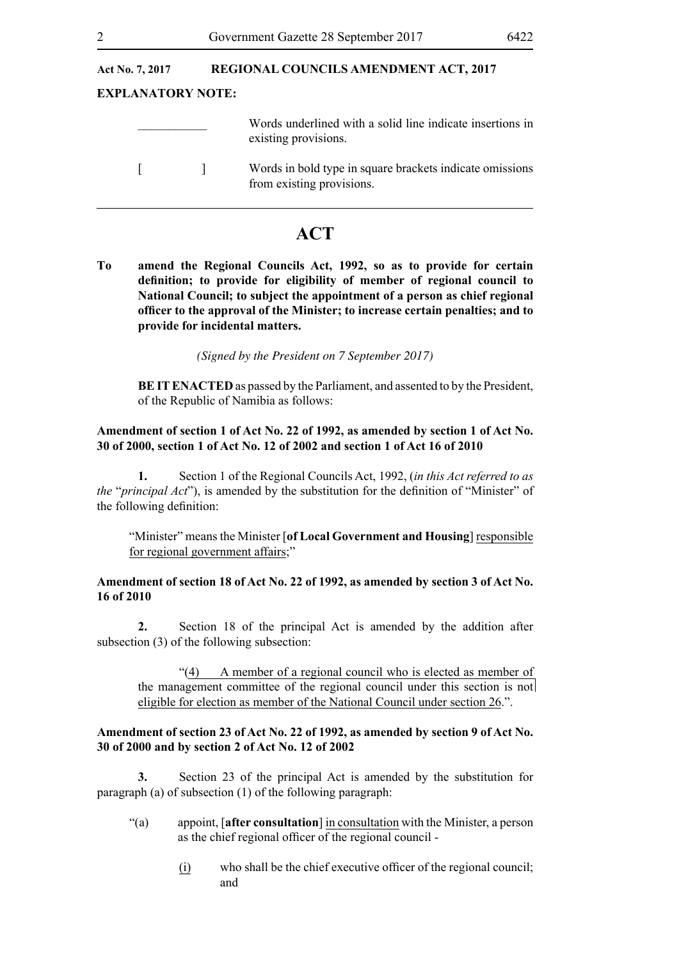### Act No. 7, 2017 **REGIONAL COUNCILS AMENDMENT ACT, 2017**

### **EXPLANATORY NOTE:**

| Words underlined with a solid line indicate insertions in |
|-----------------------------------------------------------|
| existing provisions.                                      |
|                                                           |

### **ACT**

**To amend the Regional Councils Act, 1992, so as to provide for certain definition; to provide for eligibility of member of regional council to National Council; to subject the appointment of a person as chief regional officer to the approval of the Minister; to increase certain penalties; and to provide for incidental matters.**

*(Signed by the President on 7 September 2017)*

**BE IT ENACTED** as passed by the Parliament, and assented to by the President, of the Republic of Namibia as follows:

### **Amendment of section 1 of Act No. 22 of 1992, as amended by section 1 of Act No. 30 of 2000, section 1 of Act No. 12 of 2002 and section 1 of Act 16 of 2010**

**1.** Section 1 of the Regional Councils Act, 1992, (*in this Act referred to as the* "*principal Act*"), is amended by the substitution for the definition of "Minister" of the following definition:

"Minister" means the Minister [**of Local Government and Housing**] responsible for regional government affairs;"

### **Amendment of section 18 of Act No. 22 of 1992, as amended by section 3 of Act No. 16 of 2010**

**2.** Section 18 of the principal Act is amended by the addition after subsection (3) of the following subsection:

"(4) A member of a regional council who is elected as member of the management committee of the regional council under this section is not eligible for election as member of the National Council under section 26.".

### **Amendment of section 23 of Act No. 22 of 1992, as amended by section 9 of Act No. 30 of 2000 and by section 2 of Act No. 12 of 2002**

**3.** Section 23 of the principal Act is amended by the substitution for paragraph (a) of subsection (1) of the following paragraph:

- "(a) appoint, [**after consultation**] in consultation with the Minister, a person as the chief regional officer of the regional council -
	- (i) who shall be the chief executive officer of the regional council; and

<sup>[ ]</sup> Words in bold type in square brackets indicate omissions from existing provisions.